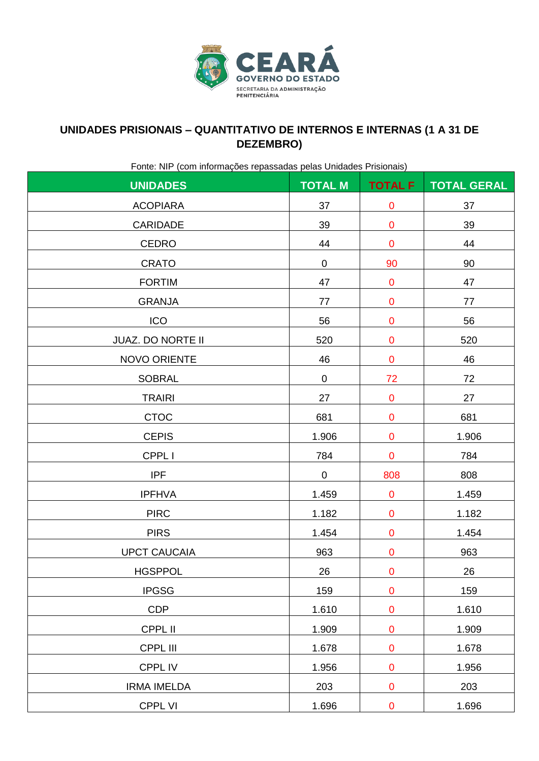

### **UNIDADES PRISIONAIS – QUANTITATIVO DE INTERNOS E INTERNAS (1 A 31 DE DEZEMBRO)**

Fonte: NIP (com informações repassadas pelas Unidades Prisionais)

| Police Prince Report in Children Control of December 2014 Control Control of The Children Control of The Children<br><b>UNIDADES</b> | <b>TOTAL M</b> | <b>TOTAL F</b> | <b>TOTAL GERAL</b> |
|--------------------------------------------------------------------------------------------------------------------------------------|----------------|----------------|--------------------|
| <b>ACOPIARA</b>                                                                                                                      | 37             | $\pmb{0}$      | 37                 |
| <b>CARIDADE</b>                                                                                                                      | 39             | $\pmb{0}$      | 39                 |
| <b>CEDRO</b>                                                                                                                         | 44             | $\pmb{0}$      | 44                 |
| <b>CRATO</b>                                                                                                                         | 0              | 90             | 90                 |
| <b>FORTIM</b>                                                                                                                        | 47             | ${\bf 0}$      | 47                 |
| <b>GRANJA</b>                                                                                                                        | 77             | $\pmb{0}$      | 77                 |
| ICO                                                                                                                                  | 56             | $\mathbf 0$    | 56                 |
| <b>JUAZ. DO NORTE II</b>                                                                                                             | 520            | $\mathbf 0$    | 520                |
| NOVO ORIENTE                                                                                                                         | 46             | $\mathbf 0$    | 46                 |
| <b>SOBRAL</b>                                                                                                                        | $\pmb{0}$      | 72             | 72                 |
| <b>TRAIRI</b>                                                                                                                        | 27             | $\pmb{0}$      | 27                 |
| <b>CTOC</b>                                                                                                                          | 681            | $\mathbf 0$    | 681                |
| <b>CEPIS</b>                                                                                                                         | 1.906          | $\pmb{0}$      | 1.906              |
| CPPL I                                                                                                                               | 784            | $\pmb{0}$      | 784                |
| <b>IPF</b>                                                                                                                           | $\mathbf 0$    | 808            | 808                |
| <b>IPFHVA</b>                                                                                                                        | 1.459          | $\mathbf 0$    | 1.459              |
| <b>PIRC</b>                                                                                                                          | 1.182          | $\pmb{0}$      | 1.182              |
| <b>PIRS</b>                                                                                                                          | 1.454          | $\mathbf 0$    | 1.454              |
| <b>UPCT CAUCAIA</b>                                                                                                                  | 963            | $\mathbf 0$    | 963                |
| <b>HGSPPOL</b>                                                                                                                       | 26             | $\mathbf 0$    | 26                 |
| <b>IPGSG</b>                                                                                                                         | 159            | $\mathbf 0$    | 159                |
| <b>CDP</b>                                                                                                                           | 1.610          | $\pmb{0}$      | 1.610              |
| CPPL II                                                                                                                              | 1.909          | $\pmb{0}$      | 1.909              |
| CPPL III                                                                                                                             | 1.678          | $\pmb{0}$      | 1.678              |
| CPPL IV                                                                                                                              | 1.956          | $\pmb{0}$      | 1.956              |
| <b>IRMA IMELDA</b>                                                                                                                   | 203            | $\pmb{0}$      | 203                |
| <b>CPPL VI</b>                                                                                                                       | 1.696          | $\mathbf 0$    | 1.696              |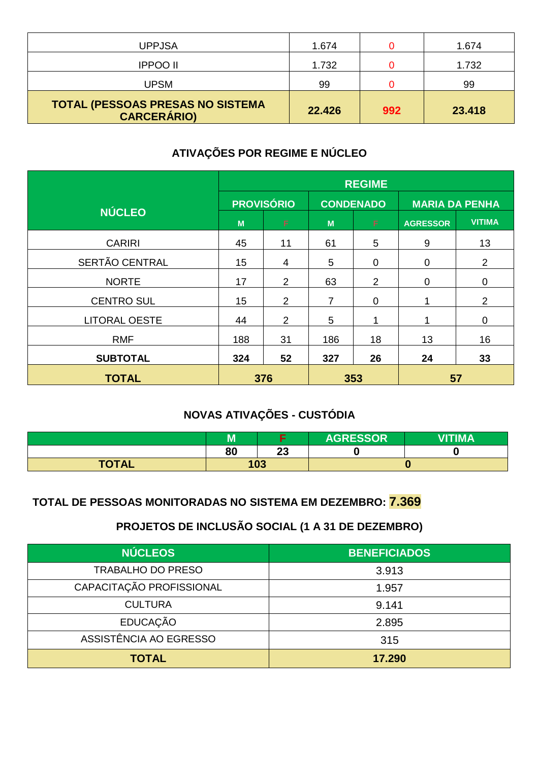| <b>UPPJSA</b>                                          | 1.674  |     | 1.674  |
|--------------------------------------------------------|--------|-----|--------|
| <b>IPPOO II</b>                                        | 1.732  |     | 1.732  |
| <b>UPSM</b>                                            | 99     |     | 99     |
| TOTAL (PESSOAS PRESAS NO SISTEMA<br><b>CARCERÁRIO)</b> | 22.426 | 992 | 23.418 |

# **ATIVAÇÕES POR REGIME E NÚCLEO**

|                      | <b>REGIME</b>     |     |                  |                  |                       |                |
|----------------------|-------------------|-----|------------------|------------------|-----------------------|----------------|
|                      | <b>PROVISÓRIO</b> |     | <b>CONDENADO</b> |                  | <b>MARIA DA PENHA</b> |                |
| <b>NÚCLEO</b>        | M                 | F.  | M                | F                | <b>AGRESSOR</b>       | <b>VITIMA</b>  |
| <b>CARIRI</b>        | 45                | 11  | 61               | 5                | 9                     | 13             |
| SERTÃO CENTRAL       | 15                | 4   | 5                | $\mathbf 0$      | $\mathbf 0$           | $\overline{2}$ |
| <b>NORTE</b>         | 17                | 2   | 63               | $\overline{2}$   | 0                     | $\mathbf 0$    |
| <b>CENTRO SUL</b>    | 15                | 2   | $\overline{7}$   | $\boldsymbol{0}$ |                       | $\overline{2}$ |
| <b>LITORAL OESTE</b> | 44                | 2   | $\overline{5}$   | 1                |                       | $\mathbf 0$    |
| <b>RMF</b>           | 188               | 31  | 186              | 18               | 13                    | 16             |
| <b>SUBTOTAL</b>      | 324               | 52  | 327              | 26               | 24                    | 33             |
| <b>TOTAL</b>         |                   | 376 | 353              |                  | 57                    |                |

# **NOVAS ATIVAÇÕES - CUSTÓDIA**

|              | - -<br>M |         | <b>AGRESSOR</b> | <b>VITIMA</b> |
|--------------|----------|---------|-----------------|---------------|
|              | 80       | ົ<br>ΔJ |                 |               |
| <b>TOTAL</b> | 103      |         |                 |               |

#### **TOTAL DE PESSOAS MONITORADAS NO SISTEMA EM DEZEMBRO: 7.369**

## **PROJETOS DE INCLUSÃO SOCIAL (1 A 31 DE DEZEMBRO)**

| <b>NÚCLEOS</b>           | <b>BENEFICIADOS</b> |
|--------------------------|---------------------|
| <b>TRABALHO DO PRESO</b> | 3.913               |
| CAPACITAÇÃO PROFISSIONAL | 1.957               |
| <b>CULTURA</b>           | 9.141               |
| <b>EDUCAÇÃO</b>          | 2.895               |
| ASSISTÊNCIA AO EGRESSO   | 315                 |
| <b>TOTAL</b>             | 17.290              |